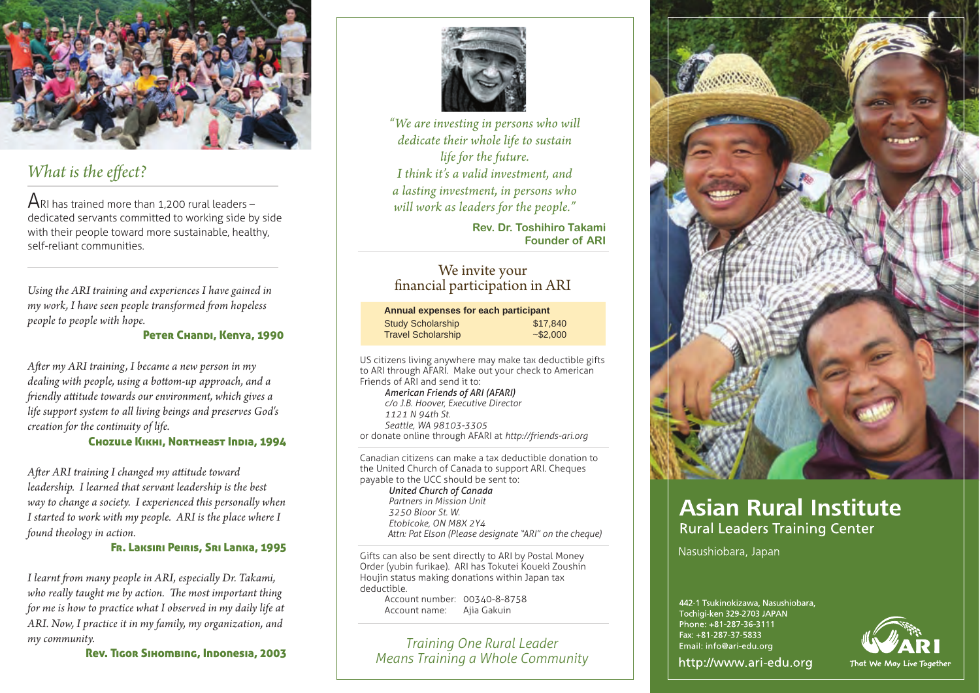

## *What is the effect?*

 $ARI$  has trained more than 1,200 rural leaders – dedicated servants committed to working side by side with their people toward more sustainable, healthy, self-reliant communities.

*Using the ARI training and experiences I have gained in my work, I have seen people transformed from hopeless people to people with hope.*

Peter Chandi, Kenya, 1990

After my ARI training, I became a new person in my *dealing with people, using a bottom-up approach, and a "iendly a\$itude towards our environment, which gives a life support system to all living beings and preserves God's creation for the continuity of life.*

### Chozule Kikhi, Northeast India, 1994

*A#er ARI training I changed my a\$itude toward leadership. I learned that servant leadership is the best way to change a society. I experienced this personally when I started to work with my people. ARI is the place where I found theology in action.*

### Fr. Laksiri Peiris, Sri Lanka, 1995

*I learnt "om many people in ARI, especially Dr. Takami,*  who really taught me by action. The most important thing *for me is how to practice what I observed in my daily life at ARI. Now, I practice it in my family, my organization, and my community.*



*"We are investing in persons who will dedicate their whole life to sustain life for the future. I think it's a valid investment, and a lasting investment, in persons who will work as leaders for the people."*

> **Rev. Dr. Toshihiro Takami Founder of ARI**

# We invite your<br>financial participation in ARI

| Annual expenses for each participant |             |
|--------------------------------------|-------------|
| <b>Study Scholarship</b>             | \$17,840    |
| <b>Travel Scholarship</b>            | $-$ \$2,000 |

US citizens living anywhere may make tax deductible gifts to ARI through AFARI. Make out your check to American Friends of ARI and send it to:

*American Friends of ARI (AFARI) c/o J.B. Hoover, Executive Director 1121 N 94th St. Seattle, WA 98103-3305* or donate online through AFARI at *http://friends-ari.org*

Canadian citizens can make a tax deductible donation to the United Church of Canada to support ARI. Cheques payable to the UCC should be sent to: *United Church of Canada Partners in Mission Unit 3250 Bloor St. W. Etobicoke, ON M8X 2Y4 Attn: Pat Elson (Please designate "ARI" on the cheque)*

Gifts can also be sent directly to ARI by Postal Money Order (yubin furikae). ARI has Tokutei Koueki Zoushin Houjin status making donations within Japan tax deductible.

Account number: 00340-8-8758 Account name: Ajia Gakuin

Rev. Tigor Sihombing, Indonesia, 2003 *Training One Rural Leader Means Training a Whole Community*



# **Asian Rural Institute Rural Leaders Training Center**

Nasushiobara, Japan

442-1 Tsukinokizawa, Nasushiobara, Tochigi-ken 329-2703 JAPAN Phone: +81-287-36-3111 Fax: +81-287-37-5833 Email: info@ari-edu.org



http://www.ari-edu.org